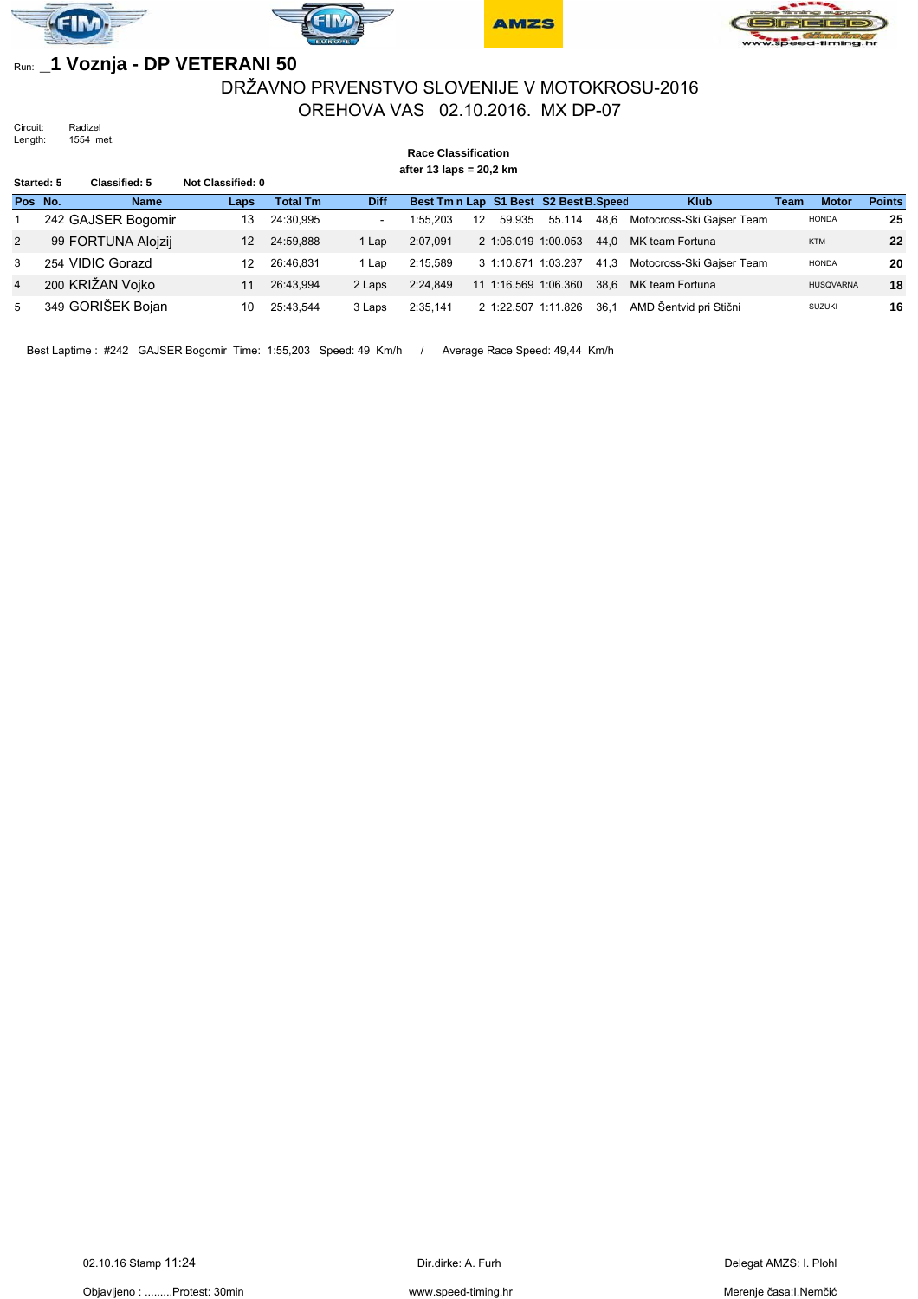







### Run: **\_1 Voznja - DP VETERANI 50**

## DRŽAVNO PRVENSTVO SLOVENIJE V MOTOKROSU-2016 OREHOVA VAS 02.10.2016. MX DP-07

Circuit: Radizel Length: 1554 met.

#### **Race Classification after 13 laps = 20,2 km Started: 5 Classified: 5 Not Classified: 0 Pos No. Name Laps Total Tm Diff Best Tm n Lap S1 Best S2 Best B.Speed Klub Team Motor Points** 1 242 GAJSER Bogomir 13 24:30,995 - 1:55,203 12 59.935 55.114 48,6 Motocross-Ski Gajser Team HONDA **25** 2 99 FORTUNA Alojzij 12 24:59,888 1 Lap 2:07,091 2 1:06.019 1:00.053 44,0 MK team Fortuna KTM **22** 3 254 VIDIC Gorazd 12 26:46,831 1 Lap 2:15,589 3 1:10.871 1:03.237 41,3 Motocross-Ski Gajser Team HONDA **20** 4 200 KRIŽAN Vojko 11 26:43,994 2 Laps 2:24,849 11 1:16.569 1:06.360 38,6 MK team Fortuna HUSQVARNA **18** 5 349 GORIŠEK Bojan 10 25:43,544 3 Laps 2:35,141 2 1:22.507 1:11.826 36,1 AMD Šentvid pri Stični suzuki 16

Best Laptime : #242 GAJSER Bogomir Time: 1:55,203 Speed: 49 Km/h / Average Race Speed: 49,44 Km/h